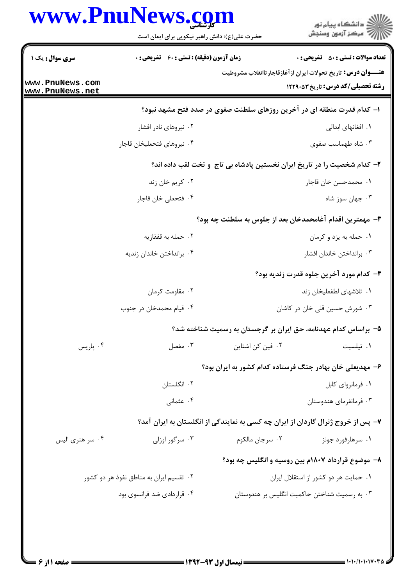|                                    | www.PnuNews.com<br>حضرت علی(ع): دانش راهبر نیکویی برای ایمان است       | الاد دانشگاه پيام نور<br>الا مرکز آزمون وسنجش                                                                   |  |  |  |
|------------------------------------|------------------------------------------------------------------------|-----------------------------------------------------------------------------------------------------------------|--|--|--|
| سری سوال: یک ۱                     | <b>زمان آزمون (دقیقه) : تستی : 60 ٪ تشریحی : 0</b>                     | <b>تعداد سوالات : تستی : 50 ٪ تشریحی : 0</b>                                                                    |  |  |  |
| www.PnuNews.com<br>www.PnuNews.net |                                                                        | <b>عنـــوان درس:</b> تاريخ تحولات ايران ازآغازقاجارتاانقلاب مشروطيت<br><b>رشته تحصیلی/کد درس:</b> تاریخ ۱۲۲۹۰۵۳ |  |  |  |
|                                    | ۱– کدام قدرت منطقه ای در آخرین روزهای سلطنت صفوی در صدد فتح مشهد نبود؟ |                                                                                                                 |  |  |  |
|                                    | ۰۲ نیروهای نادر افشار                                                  | ۰۱ افغانهای ابدالی                                                                                              |  |  |  |
|                                    | ۰۴ نيروهاي فتحعليخان قاجار                                             | ۰۳ شاه طهماسب صفوی                                                                                              |  |  |  |
|                                    |                                                                        | ۲- کدام شخصیت را در تاریخ ایران نخستین پادشاه بی تاج ًو تخت لقب داده اند؟                                       |  |  |  |
|                                    | ۰۲ کريم خان زند                                                        | ٠١. محمدحسن خان قاجار                                                                                           |  |  |  |
|                                    | ۰۴ فتحعلي خان قاجار                                                    | ۰۳ جهان سوز شاه                                                                                                 |  |  |  |
|                                    |                                                                        | ۳– مهمترین اقدام آغامحمدخان بعد از جلوس به سلطنت چه بود؟                                                        |  |  |  |
|                                    | ۰۲ حمله به قفقازیه                                                     | ۰۱ حمله به يزد و كرمان                                                                                          |  |  |  |
|                                    | ۰۴ برانداختن خاندان زنديه                                              | ۰۳ برانداختن خاندان افشار                                                                                       |  |  |  |
|                                    |                                                                        | ۴– کدام مورد آخرین جلوه قدرت زندیه بود؟                                                                         |  |  |  |
|                                    | ۰۲ مقاومت کرمان                                                        | ۰۱ تلاشهای لطفعلیخان زند                                                                                        |  |  |  |
|                                    | ۰۴ قیام محمدخان در جنوب                                                | ۰۳ شورش حسین قلی خان در کاشان                                                                                   |  |  |  |
|                                    |                                                                        | ۵– براساس کدام عهدنامه، حق ایران بر گرجستان به رسمیت شناخته شد؟                                                 |  |  |  |
| ۰۴ پاریس                           | ۰۳ مفصل                                                                | ۰۲ فین کن اشتاین<br>٠١ تيلسيت                                                                                   |  |  |  |
|                                    |                                                                        | ۶– مهدیعلی خان بهادر جنگ فرستاده کدام کشور به ایران بود؟                                                        |  |  |  |
|                                    | ۰۲ انگلستان                                                            | ۰۱ فرمانروای کابل                                                                                               |  |  |  |
|                                    | ۰۴ عثمانی                                                              | ۰۳ فرمانفرمای هندوستان                                                                                          |  |  |  |
|                                    |                                                                        | ۷- پس از خروج ژنرال گاردان از ایران چه کسی به نمایندگی از انگلستان به ایران آمد؟                                |  |  |  |
| ۰۴ سر هنری الیس                    | ۰۳ سرگور اوزلی                                                         | ۰۲ سرجان مالکوم<br>۰۱ سرهارفورد جونز                                                                            |  |  |  |
|                                    |                                                                        | ۸– موضوع قرارداد ۱۸۰۷م بین روسیه و انگلیس چه بود؟                                                               |  |  |  |
|                                    | ۰۲ تقسیم ایران به مناطق نفوذ هر دو کشور                                | ۰۱ حمایت هر دو کشور از استقلال ایران                                                                            |  |  |  |
|                                    | ۰۴ قراردادی ضد فرانسوی بود                                             | ۰۳ به رسمیت شناختن حاکمیت انگلیس بر هندوستان                                                                    |  |  |  |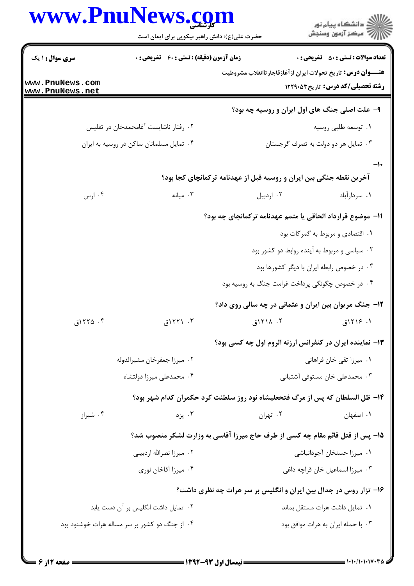|                                    | www.PnuNews.com<br>حضرت علی(ع): دانش راهبر نیکویی برای ایمان است              |                                                                      | ڪ دانشڪاه پيا <sub>م</sub> نور<br>۾ سرڪز آزمون وسنڊش |
|------------------------------------|-------------------------------------------------------------------------------|----------------------------------------------------------------------|------------------------------------------------------|
| <b>سری سوال : ۱ یک</b>             | <b>زمان آزمون (دقیقه) : تستی : 60 ٪ تشریحی : 0</b>                            |                                                                      | <b>تعداد سوالات : تستي : 50 ٪ تشريحي : 0</b>         |
| www.PnuNews.com<br>www.PnuNews.net |                                                                               | <b>عنـــوان درس:</b> تاریخ تحولات ایران از آغازقاجارتاانقلاب مشروطیت | رشته تحصیلی/کد درس: تاریخ ۱۲۲۹۰۵۳                    |
|                                    |                                                                               | ۹- علت اصلی جنگ های اول ایران و روسیه چه بود؟                        |                                                      |
|                                    | ۰۲ رفتار ناشایست آغامحمدخان در تفلیس                                          |                                                                      | ۰۱ توسعه طلبي روسيه                                  |
|                                    | ۰۴ تمایل مسلمانان ساکن در روسیه به ایران                                      |                                                                      | ۰۳ تمایل هر دو دولت به تصرف گرجستان                  |
|                                    |                                                                               | آخرین نقطه جنگی بین ایران و روسیه قبل از عهدنامه ترکمانچای کجا بود؟  |                                                      |
| ۰۴ ارس                             | ۰۳ میانه                                                                      | ۰۲ اردبیل                                                            | ٠١ سردارآباد                                         |
|                                    |                                                                               | 11- موضوع قرارداد الحاقي يا متمم عهدنامه تركمانچاي چه بود؟           |                                                      |
|                                    |                                                                               |                                                                      | ۰۱ اقتصادی و مربوط به گمرکات بود                     |
|                                    |                                                                               |                                                                      | ۰۲ سیاسی و مربوط به آینده روابط دو کشور بود          |
|                                    |                                                                               |                                                                      | ۰۳ در خصوص رابطه ایران با دیگر کشورها بود            |
|                                    |                                                                               | ۰۴ در خصوص چگونگی پرداخت غرامت جنگ به روسیه بود                      |                                                      |
|                                    |                                                                               | <b>۱۲</b> - جنگ مریوان بین ایران و عثمانی در چه سالی روی داد؟        |                                                      |
| ۰۴ ۱۲۲۵ق                           | ۰۳ ۱۲۲۱ق                                                                      | ۰۲ ۱۸ ۱۲۱ق                                                           | ۱. ۱۲۱۶ق                                             |
|                                    |                                                                               | <b>۱۳</b> - نماینده ایران در کنفرانس ارزنه الروم اول چه کسی بود؟     |                                                      |
|                                    | ٠٢ ميرزا جعفرخان مشيرالدوله                                                   |                                                                      | ٠١ ميرزا تقى خان فراهاني                             |
|                                    | ۰۴ محمدعلی میرزا دولتشاه                                                      |                                                                      | ۰۳ محمدعلی خان مستوفی آشتیانی                        |
|                                    | ۱۴- ظل السلطان که پس از مرگ فتحعلیشاه نود روز سلطنت کرد حکمران کدام شهر بود؟  |                                                                      |                                                      |
| ۰۴ شیراز                           | ۰۳ يزد                                                                        | ۰۲ تهران                                                             | ٠١. اصفهان                                           |
|                                    | ۱۵– پس از قتل قائم مقام چه کسی از طرف حاج میرزا آقاسی به وزارت لشکر منصوب شد؟ |                                                                      |                                                      |
|                                    | ۰۲ میرزا نصرالله اردبیلی                                                      |                                                                      | ٠١ ميرزا حسنخان آجودانباشي                           |
|                                    | ۰۴ میرزا آقاخان نوری                                                          |                                                                      | ۰۳ میرزا اسماعیل خان قراچه داغی                      |
|                                    |                                                                               | ۱۶- تزار روس در جدال بین ایران و انگلیس بر سر هرات چه نظری داشت؟     |                                                      |
|                                    | ۰۲ تمایل داشت انگلیس بر آن دست یابد                                           |                                                                      | ٠١ تمايل داشت هرات مستقل بماند                       |
|                                    | ۰۴ از جنگ دو کشور بر سر مساله هرات خوشنود بود                                 |                                                                      | ۰۳ با حمله ایران به هرات موافق بود                   |
|                                    |                                                                               |                                                                      |                                                      |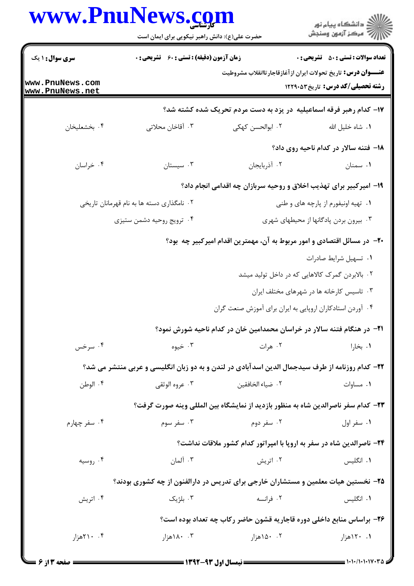|                                    | حضرت علی(ع): دانش راهبر نیکویی برای ایمان است |                                                                                                 | ڪ دانشڪاه پيا <sub>م</sub> نور<br><i>(7</i> مرڪز آزمون وسنڊش |
|------------------------------------|-----------------------------------------------|-------------------------------------------------------------------------------------------------|--------------------------------------------------------------|
| <b>سری سوال : ۱ یک</b>             | زمان آزمون (دقیقه) : تستی : 60 تشریحی : 0     | <b>تعداد سوالات : تستی : 50 ٪ تشریحی : 0</b>                                                    |                                                              |
| www.PnuNews.com<br>www.PnuNews.net |                                               | <b>عنـــوان درس:</b> تاریخ تحولات ایران ازآغازقاجارتاانقلاب مشروطیت                             | رشته تحصیلی/کد درس: تاریخ ۱۲۲۹۰۵۳                            |
|                                    |                                               | ۱۷- کدام رهبر فرقه اسماعیلیه در یزد به دست مردم تحریک شده کشته شد؟                              |                                                              |
| ۰۴ بخشعليخان                       | ۰۳ آقاخان محلاتی                              | ٠٢ ابوالحسن كهكي                                                                                | ٠١. شاه خليل الله                                            |
|                                    |                                               |                                                                                                 | ۱۸– فتنه سالار در کدام ناحیه روی داد؟                        |
| ۰۴ خراسان                          | ۰۳ سیستان                                     | ٠٢ آذربايجان                                                                                    | ۰۱ سمنان                                                     |
|                                    |                                               | ۱۹- امیرکبیر برای تهذیب اخلاق و روحیه سربازان چه اقدامی انجام داد؟                              |                                                              |
|                                    | ۰۲ نامگذاری دسته ها به نام قهرمانان تاریخی    |                                                                                                 | ۰۱ تهیه اونیفورم از پارچه های و طنی                          |
|                                    | ۰۴ ترویج روحیه دشمن ستیزی                     |                                                                                                 | ۰۳ بیرون بردن پادگانها از محیطهای شهری                       |
|                                    |                                               | +۲- در مسائل اقتصادی و امور مربوط به آن، مهمترین اقدام امیرکبیر چه بود؟                         |                                                              |
|                                    |                                               |                                                                                                 | ٠١ تسهيل شرايط صادرات                                        |
|                                    |                                               |                                                                                                 | ۰۲ بالابردن گمرک کالاهایی که در داخل تولید میشد              |
|                                    |                                               |                                                                                                 | ۰۳ تاسیس کارخانه ها در شهرهای مختلف ایران                    |
|                                    |                                               | ۰۴ آوردن استادکاران اروپایی به ایران برای آموزش صنعت گران                                       |                                                              |
|                                    |                                               | ۰۲۱− در هنگام فتنه سالار در خراسان محمدامین خان در کدام ناحیه شورش نمود؟                        |                                                              |
| ۰۴ سرخس                            | ۰۳ خیوه                                       | ۰۲ هرات                                                                                         | ۰۱ بخارا                                                     |
|                                    |                                               | ۲۲– کدام روزنامه از طرف سیدجمال الدین اسدآبادی در لندن و به دو زبان انگلیسی و عربی منتشر می شد؟ |                                                              |
| ۰۴ الوطن                           | ۰۳ عروه الوثقي                                | ٢. ضياء الخافقين                                                                                | ۰۱ مساوات                                                    |
|                                    |                                               | ۲۳– کدام سفر ناصرالدین شاه به منظور بازدید از نمایشگاه بین المللی وینه صورت گرفت؟               |                                                              |
| ۰۴ سفر چهارم                       | ۰۳ سفر سوم                                    | ۰۲ سفر دوم                                                                                      | ۰۱ سفر اول                                                   |
|                                    |                                               | <b>34- ناصرالدین شاه در سفر به اروپا با امپراتور کدام کشور ملاقات نداشت؟</b>                    |                                                              |
| ۰۴ روسیه                           | ۰۳ آلمان                                      | ۰۲ اتریش                                                                                        | ٠١. انگليس                                                   |
|                                    |                                               | ۲۵- نخستین هیات معلمین و مستشاران خارجی برای تدریس در دارالفنون از چه کشوری بودند؟              |                                                              |
| ۰۴ اتریش                           | ۰۳ بلژیک                                      | ۰۲ فرانسه                                                                                       | ۰۱ انگلیس                                                    |
|                                    |                                               | ۲۶- براساس منابع داخلی دوره قاجاریه قشون حاضر رکاب چه تعداد بوده است؟                           |                                                              |
| ۰.۴ ۲۱۰هزار                        | ۰۰ ۸۰هزار                                     | ۰۲ ۱۵۰هزار                                                                                      | ۱. ۱۲۰هزار                                                   |
|                                    |                                               |                                                                                                 |                                                              |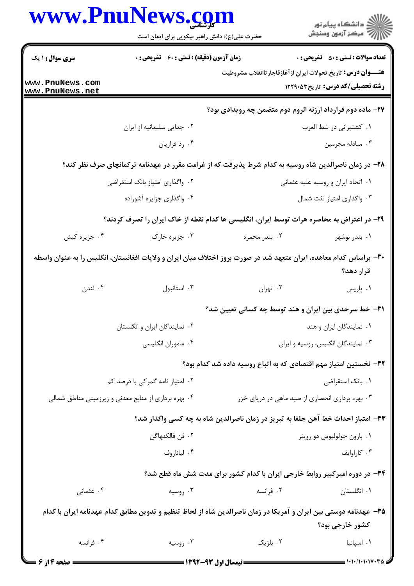|                                                      | www.Pnulvews. <u>co</u> m<br>حضرت علی(ع): دانش راهبر نیکویی برای ایمان است |                                                                                                                    | ڪ دانشڪاه پيام نور<br>پ <sup>ر</sup> مرڪز آزمون وسنڊش |
|------------------------------------------------------|----------------------------------------------------------------------------|--------------------------------------------------------------------------------------------------------------------|-------------------------------------------------------|
| <b>سری سوال : ۱ یک</b>                               | <b>زمان آزمون (دقیقه) : تستی : 60 ٪ تشریحی : 0</b>                         |                                                                                                                    | <b>تعداد سوالات : تستي : 50 ٪ تشريحي : 0</b>          |
| www.PnuNews.com<br>www.PnuNews.net                   |                                                                            | <b>عنــــوان درس:</b> تاریخ تحولات ایران ازآغازقاجارتاانقلاب مشروطیت                                               | <b>رشته تحصیلی/کد درس:</b> تاریخ1۲۲۹۰۵۳               |
|                                                      |                                                                            | <b>37- ماده دوم قرارداد ارزنه الروم دوم متضمن چه رویدادی بود؟</b>                                                  |                                                       |
|                                                      | ۰۲ جدایی سلیمانیه از ایران                                                 |                                                                                                                    | ٠١ كشتيراني در شط العرب                               |
|                                                      | ۰۴ رد فراریان                                                              |                                                                                                                    | ۰۳ مبادله مجرمین                                      |
|                                                      |                                                                            | ۲۸– در زمان ناصرالدین شاه روسیه به کدام شرط پذیرفت که از غرامت مقرر در عهدنامه ترکمانچای صرف نظر کند؟              |                                                       |
| ۰۲ واگذاری امتیاز بانک استقراضی                      |                                                                            |                                                                                                                    | ٠١. اتحاد ايران و روسيه عليه عثماني                   |
|                                                      | ۰۴ واگذاری جزایره آشوراده                                                  | ۰۳ واگذاری امتیاز نفت شمال                                                                                         |                                                       |
|                                                      |                                                                            | ۲۹- در اعتراض به محاصره هرات توسط ایران، انگلیسی ها کدام نقطه از خاک ایران را تصرف کردند؟                          |                                                       |
| ۰۴ جزیره کیش                                         | ۰۳ جزیره خارک                                                              | ۰۲ بندر محمره                                                                                                      | ۰۱ بندر بوشهر                                         |
|                                                      |                                                                            | ۳۰– براساس کدام معاهده، ایران متعهد شد در صورت بروز اختلاف میان ایران و ولایات افغانستان، انگلیس را به عنوان واسطه | قرار دهد؟                                             |
| ۰۴ لندن                                              | ۰۳ استانبول                                                                | ۰۲ تهران                                                                                                           | ۰۱ پاریس                                              |
|                                                      |                                                                            | ۳۱- خط سرحدی بین ایران و هند توسط چه کسانی تعیین شد؟                                                               |                                                       |
|                                                      | ۰۲ نمایندگان ایران و انگلستان                                              |                                                                                                                    | ٠١ نمايندگان ايران و هند                              |
|                                                      | ۰۴ ماموران انگلیسی                                                         |                                                                                                                    | ۰۳ نمایندگان انگلیس، روسیه و ایران                    |
|                                                      |                                                                            | ۳۲– نخستین امتیاز مهم اقتصادی که به اتباع روسیه داده شد کدام بود؟                                                  |                                                       |
| ۰۲ امتیاز نامه گمرکی با درصد کم                      |                                                                            | ۰۱ بانک استقراضی                                                                                                   |                                                       |
| ۰۴ بهره برداری از منابع معدنی و زیرزمینی مناطق شمالی |                                                                            | ۰۳ بهره برداری انحصاری از صید ماهی در دریای خزر                                                                    |                                                       |
|                                                      |                                                                            | ٣٣- امتياز احداث خط آهن جلفا به تبريز در زمان ناصرالدين شاه به چه كسى واگذار شد؟                                   |                                                       |
|                                                      | ٢ . فن فالكنهاگن                                                           |                                                                                                                    | ۰۱ بارون جولوليوس دو رويتر                            |
|                                                      | ۰۴ ليانازوف                                                                |                                                                                                                    | ۰۳ کاراوايف                                           |
|                                                      |                                                                            | ۳۴- در دوره امیرکبیر روابط خارجی ایران با کدام کشور برای مدت شش ماه قطع شد؟                                        |                                                       |
| ۰۴ عثمانی                                            | ۰۳ روسیه                                                                   | ۰۲ فرانسه                                                                                                          | ۰۱ انگلستان                                           |
|                                                      |                                                                            | ۳۵– عهدنامه دوستی بین ایران و آمریکا در زمان ناصرالدین شاه از لحاظ تنظیم و تدوین مطابق کدام عهدنامه ایران با کدام  | کشور خارجي بود؟                                       |
| ۰۴ فرانسه                                            | ۰۳ روسیه                                                                   | ۰۲ بلژیک                                                                                                           | ۰۱ اسپانیا                                            |
| <b>ــــ صفحه 4 از 6</b>                              |                                                                            | <b>ــــــــــــــــــــــــ</b> نیمسال اول ۹۳-۱۳۹۲ <del>- - - - - -</del>                                          |                                                       |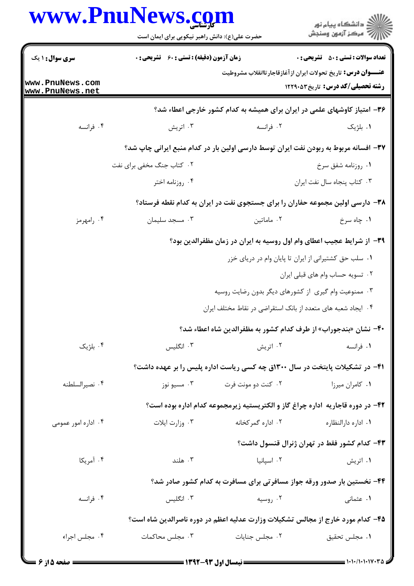|                                    | www.PnuNews.com<br>حضرت علی(ع): دانش راهبر نیکویی برای ایمان است      |                    | ڪ دانشڪاه پيام نور<br>پ <sup>ر</sup> مرڪز آزمون وسنڊش                                                    |  |
|------------------------------------|-----------------------------------------------------------------------|--------------------|----------------------------------------------------------------------------------------------------------|--|
| سری سوال: ۱ یک                     | <b>زمان آزمون (دقیقه) : تستی : 60 ٪ تشریحی : 0</b>                    |                    | <b>تعداد سوالات : تستي : 50 ٪ تشريحي : 0</b>                                                             |  |
| www.PnuNews.com<br>www.PnuNews.net |                                                                       |                    | <b>عنـــوان درس:</b> تاریخ تحولات ایران ازآغازقاجارتاانقلاب مشروطیت<br>رشته تحصیلی/کد درس: تاریخ ۱۲۲۹۰۵۳ |  |
|                                    |                                                                       |                    | ۳۶- امتیاز کاوشهای علمی در ایران برای همیشه به کدام کشور خارجی اعطاء شد؟                                 |  |
| ۰۴ فرانسه                          | ۰۳ اتریش                                                              | ۰۲ فرانسه          | ٠١. بلژيک                                                                                                |  |
|                                    |                                                                       |                    | ۳۷- افسانه مربوط به ربودن نفت ایران توسط دارسی اولین بار در کدام منبع ایرانی چاپ شد؟                     |  |
|                                    | ۰۲ کتاب جنگ مخفی برای نفت                                             |                    | ٠١ روزنامه شفق سرخ                                                                                       |  |
|                                    | ۰۴ روزنامه اختر                                                       |                    | ٠٣ كتاب پنجاه سال نفت ايران                                                                              |  |
|                                    |                                                                       |                    | ۳۸- دارسی اولین مجموعه حفاران را برای جستجوی نفت در ایران به کدام نقطه فرستاد؟                           |  |
| ۰۴ رامهرمز                         | ۰۳ مسجد سلیمان                                                        | ۰۲ ماماتین         | ۰۱ چاه سرخ                                                                                               |  |
|                                    | ۳۹- از شرایط عجیب اعطای وام اول روسیه به ایران در زمان مظفرالدین بود؟ |                    |                                                                                                          |  |
|                                    |                                                                       |                    | ٠١. سلب حق كشتيراني از ايران تا پايان وام در درياي خزر                                                   |  |
|                                    |                                                                       |                    | ۰۲ تسویه حساب وام های قبلی ایران                                                                         |  |
|                                    |                                                                       |                    | ۰۳ ممنوعیت وام گیری از کشورهای دیگر بدون رضایت روسیه                                                     |  |
|                                    |                                                                       |                    | ۰۴ ایجاد شعبه های متعدد از بانک استقراضی در نقاط مختلف ایران                                             |  |
|                                    |                                                                       |                    | ۴۰– نشان «بندجوراب» از طرف کدام کشور به مظفرالدین شاه اعطاء شد؟                                          |  |
| ۰۴ بلژیک                           | ۰۳ انگلیس                                                             | ۰۲ اتریش           | ۰۱ فرانسه                                                                                                |  |
|                                    |                                                                       |                    | ۴۱– در تشکیلات پایتخت در سال ۱۳۰۰ق چه کسی ریاست اداره پلیس را بر عهده داشت؟                              |  |
| ۰۴ نصيرالسلطنه                     | ۰۳ مسیو نوز                                                           | ۰۲ کنت دو مونت فرت | ۰۱ کامران میرزا                                                                                          |  |
|                                    |                                                                       |                    | ۴۲– در دوره قاجاریه اداره چراغ گاز و الکتریستیه زیرمجموعه کدام اداره بوده است؟                           |  |
| ۰۴ اداره امور عمومی                | ۰۳ وزارت ايلات                                                        | ۰۲ اداره گمرکخانه  | ۰۱ اداره دارالنظاره                                                                                      |  |
|                                    |                                                                       |                    | ۴۳- کدام کشور فقط در تهران ژنرال قنسول داشت؟                                                             |  |
| ۰۴ آمریکا                          | ۰۳ هلند                                                               | ۰۲ اسپانیا         | ۰۱ اتریش                                                                                                 |  |
|                                    |                                                                       |                    | ۴۴- نخستین بار صدور ورقه جواز مسافرتی برای مسافرت به کدام کشور صادر شد؟                                  |  |
| ۰۴ فرانسه                          | ۰۳ انگلیس                                                             | ۰۲ روسیه           | ۰۱ عثمانی                                                                                                |  |
|                                    |                                                                       |                    | ۴۵– کدام مورد خارج از مجالس تشکیلات وزارت عدلیه اعظم در دوره ناصرالدین شاه است؟                          |  |
| ۰۴ مجلس اجراء                      | ۰۳ مجلس محاکمات                                                       | ۰۲ مجلس جنایات     | ٠١. مجلس تحقيق                                                                                           |  |
|                                    |                                                                       |                    |                                                                                                          |  |